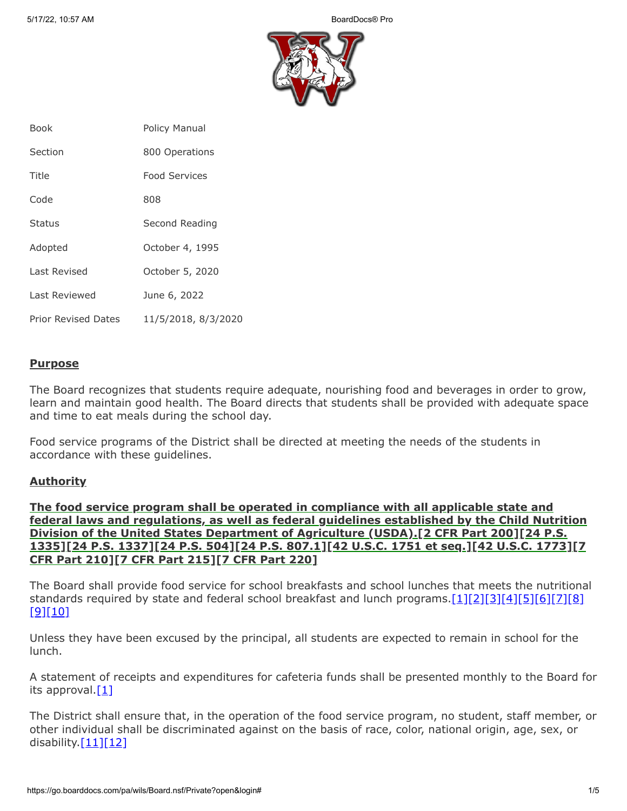

| <b>Book</b>                | <b>Policy Manual</b> |
|----------------------------|----------------------|
| Section                    | 800 Operations       |
| Title                      | <b>Food Services</b> |
| Code                       | 808                  |
| <b>Status</b>              | Second Reading       |
| Adopted                    | October 4, 1995      |
| Last Revised               | October 5, 2020      |
| Last Reviewed              | June 6, 2022         |
| <b>Prior Revised Dates</b> | 11/5/2018, 8/3/2020  |

## **Purpose**

The Board recognizes that students require adequate, nourishing food and beverages in order to grow, learn and maintain good health. The Board directs that students shall be provided with adequate space and time to eat meals during the school day.

Food service programs of the District shall be directed at meeting the needs of the students in accordance with these guidelines.

### **Authority**

**The food service program shall be operated in compliance with all applicable state and federal laws and regulations, as well as federal guidelines established by the Child Nutrition Division of the United States Department of Agriculture (USDA).[2 CFR Part 200][24 P.S. 1335][24 P.S. 1337][24 P.S. 504][24 P.S. 807.1][42 U.S.C. 1751 et seq.][42 U.S.C. 1773][7 CFR Part 210][7 CFR Part 215][7 CFR Part 220]**

The Board shall provide food service for school breakfasts and school lunches that meets the nutritional standards required by state and federal school breakfast and lunch programs[.\[1\]](http://www.legis.state.pa.us/cfdocs/legis/LI/uconsCheck.cfm?txtType=HTM&yr=1949&sessInd=0&smthLwInd=0&act=14&chpt=5&sctn=4&subsctn=0)[\[2\]](http://www.legis.state.pa.us/cfdocs/legis/LI/uconsCheck.cfm?txtType=HTM&yr=1949&sessInd=0&smthLwInd=0&act=14&chpt=8&sctn=7&subsctn=1)[\[3\]](http://www.legis.state.pa.us/cfdocs/legis/LI/uconsCheck.cfm?txtType=HTM&yr=1949&sessInd=0&smthLwInd=0&act=14&chpt=13&sctn=35&subsctn=0)[\[4\]](http://www.legis.state.pa.us/cfdocs/legis/LI/uconsCheck.cfm?txtType=HTM&yr=1949&sessInd=0&smthLwInd=0&act=14&chpt=13&sctn=37&subsctn=0)[\[5\]](http://www.law.cornell.edu/uscode/text/42/chapter-13)[\[6\]](http://www.law.cornell.edu/uscode/text/42/1773)[\[7\]](http://www.ecfr.gov/cgi-bin/text-idx?SID=f19ad7e3b69771d2c8718ff28c77c423&mc=true&node=pt2.1.200&rgn=div5)[\[8\]](http://www.law.cornell.edu/cfr/text/7/part-210)  $[9][10]$  $[9][10]$ 

Unless they have been excused by the principal, all students are expected to remain in school for the lunch.

A statement of receipts and expenditures for cafeteria funds shall be presented monthly to the Board for its approval[.\[1\]](http://www.legis.state.pa.us/cfdocs/legis/LI/uconsCheck.cfm?txtType=HTM&yr=1949&sessInd=0&smthLwInd=0&act=14&chpt=5&sctn=4&subsctn=0)

The District shall ensure that, in the operation of the food service program, no student, staff member, or other individual shall be discriminated against on the basis of race, color, national origin, age, sex, or disability. $[11][12]$  $[11][12]$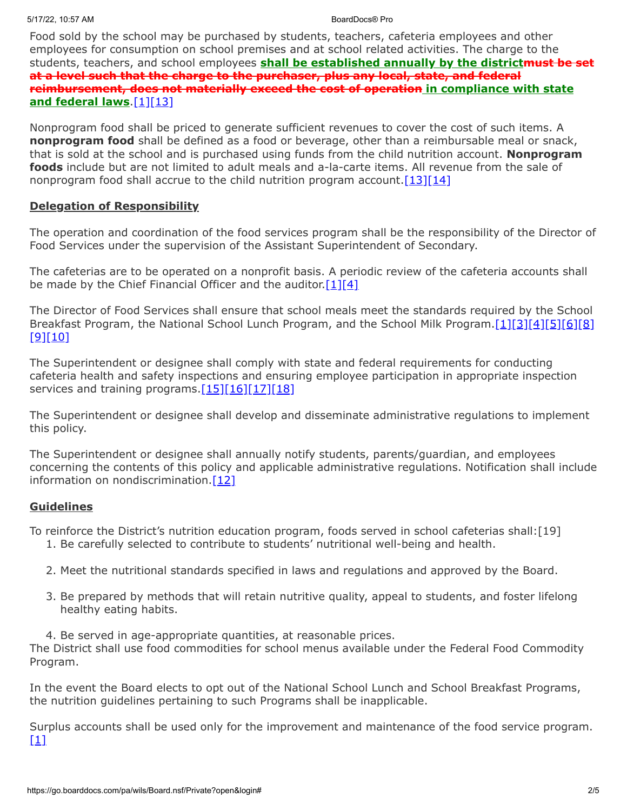Food sold by the school may be purchased by students, teachers, cafeteria employees and other employees for consumption on school premises and at school related activities. The charge to the students, teachers, and school employees **shall be established annually by the districtmust be set at a level such that the charge to the purchaser, plus any local, state, and federal reimbursement, does not materially exceed the cost of operation in compliance with state and federal laws**[.\[1\]](http://www.legis.state.pa.us/cfdocs/legis/LI/uconsCheck.cfm?txtType=HTM&yr=1949&sessInd=0&smthLwInd=0&act=14&chpt=5&sctn=4&subsctn=0)[\[13\]](http://www.law.cornell.edu/uscode/text/42/1760)

Nonprogram food shall be priced to generate sufficient revenues to cover the cost of such items. A **nonprogram food** shall be defined as a food or beverage, other than a reimbursable meal or snack, that is sold at the school and is purchased using funds from the child nutrition account. **Nonprogram foods** include but are not limited to adult meals and a-la-carte items. All revenue from the sale of nonprogram food shall accrue to the child nutrition program account.  $[13][14]$  $[13][14]$ 

# **Delegation of Responsibility**

The operation and coordination of the food services program shall be the responsibility of the Director of Food Services under the supervision of the Assistant Superintendent of Secondary.

The cafeterias are to be operated on a nonprofit basis. A periodic review of the cafeteria accounts shall be made by the Chief Financial Officer and the auditor.  $[1][4]$  $[1][4]$ 

The Director of Food Services shall ensure that school meals meet the standards required by the School Breakfast Program, the National School Lunch Program, and the School Milk Program.[\[1\]](http://www.legis.state.pa.us/cfdocs/legis/LI/uconsCheck.cfm?txtType=HTM&yr=1949&sessInd=0&smthLwInd=0&act=14&chpt=5&sctn=4&subsctn=0)[\[3\]](http://www.legis.state.pa.us/cfdocs/legis/LI/uconsCheck.cfm?txtType=HTM&yr=1949&sessInd=0&smthLwInd=0&act=14&chpt=13&sctn=35&subsctn=0)[\[4\]](http://www.legis.state.pa.us/cfdocs/legis/LI/uconsCheck.cfm?txtType=HTM&yr=1949&sessInd=0&smthLwInd=0&act=14&chpt=13&sctn=37&subsctn=0)[\[5\]](http://www.law.cornell.edu/uscode/text/42/chapter-13)[\[6\]](http://www.law.cornell.edu/uscode/text/42/1773)[\[8\]](http://www.law.cornell.edu/cfr/text/7/part-210) [\[9\]](http://www.law.cornell.edu/cfr/text/7/part-215)[\[10\]](http://www.law.cornell.edu/cfr/text/7/part-220)

The Superintendent or designee shall comply with state and federal requirements for conducting cafeteria health and safety inspections and ensuring employee participation in appropriate inspection services and training programs. $[15][16][17][18]$  $[15][16][17][18]$  $[15][16][17][18]$  $[15][16][17][18]$ 

The Superintendent or designee shall develop and disseminate administrative regulations to implement this policy.

The Superintendent or designee shall annually notify students, parents/guardian, and employees concerning the contents of this policy and applicable administrative regulations. Notification shall include information on nondiscrimination[.\[12\]](https://fns-prod.azureedge.net/sites/default/files/113-1.pdf)

# **Guidelines**

To reinforce the District's nutrition education program, foods served in school cafeterias shall:[19]

- 1. Be carefully selected to contribute to students' nutritional well-being and health.
- 2. Meet the nutritional standards specified in laws and regulations and approved by the Board.
- 3. Be prepared by methods that will retain nutritive quality, appeal to students, and foster lifelong healthy eating habits.
- 4. Be served in age-appropriate quantities, at reasonable prices.

The District shall use food commodities for school menus available under the Federal Food Commodity Program.

In the event the Board elects to opt out of the National School Lunch and School Breakfast Programs, the nutrition guidelines pertaining to such Programs shall be inapplicable.

Surplus accounts shall be used only for the improvement and maintenance of the food service program.  $[1]$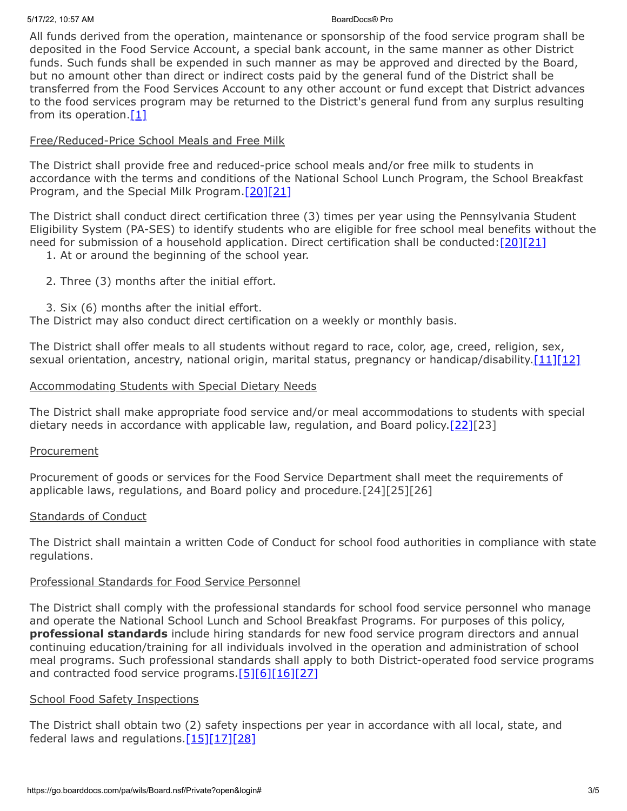All funds derived from the operation, maintenance or sponsorship of the food service program shall be deposited in the Food Service Account, a special bank account, in the same manner as other District funds. Such funds shall be expended in such manner as may be approved and directed by the Board, but no amount other than direct or indirect costs paid by the general fund of the District shall be transferred from the Food Services Account to any other account or fund except that District advances to the food services program may be returned to the District's general fund from any surplus resulting from its operation. $[1]$ 

# Free/Reduced-Price School Meals and Free Milk

The District shall provide free and reduced-price school meals and/or free milk to students in accordance with the terms and conditions of the National School Lunch Program, the School Breakfast Program, and the Special Milk Program.<sup>[20][\[21\]](http://www.law.cornell.edu/cfr/text/7/part-245)</sup>

The District shall conduct direct certification three (3) times per year using the Pennsylvania Student Eligibility System (PA-SES) to identify students who are eligible for free school meal benefits without the need for submission of a household application. Direct certification shall be conducted:  $[20][21]$  $[20][21]$ 

- 1. At or around the beginning of the school year.
- 2. Three (3) months after the initial effort.
- 3. Six (6) months after the initial effort.

The District may also conduct direct certification on a weekly or monthly basis.

The District shall offer meals to all students without regard to race, color, age, creed, religion, sex, sexual orientation, ancestry, national origin, marital status, pregnancy or handicap/disability[.\[11\]](https://www.law.cornell.edu/cfr/text/7/210.23)[\[12\]](https://fns-prod.azureedge.net/sites/default/files/113-1.pdf)

# Accommodating Students with Special Dietary Needs

The District shall make appropriate food service and/or meal accommodations to students with special dietary needs in accordance with applicable law, regulation, and Board policy.<sup>[22][23]</sup>

# **Procurement**

Procurement of goods or services for the Food Service Department shall meet the requirements of applicable laws, regulations, and Board policy and procedure.[24][25][26]

### Standards of Conduct

The District shall maintain a written Code of Conduct for school food authorities in compliance with state regulations.

# Professional Standards for Food Service Personnel

The District shall comply with the professional standards for school food service personnel who manage and operate the National School Lunch and School Breakfast Programs. For purposes of this policy, **professional standards** include hiring standards for new food service program directors and annual continuing education/training for all individuals involved in the operation and administration of school meal programs. Such professional standards shall apply to both District-operated food service programs and contracted food service programs. $[5][6][16][27]$  $[5][6][16][27]$  $[5][6][16][27]$  $[5][6][16][27]$ 

### School Food Safety Inspections

The District shall obtain two (2) safety inspections per year in accordance with all local, state, and federal laws and regulations. $[15][17][28]$  $[15][17][28]$  $[15][17][28]$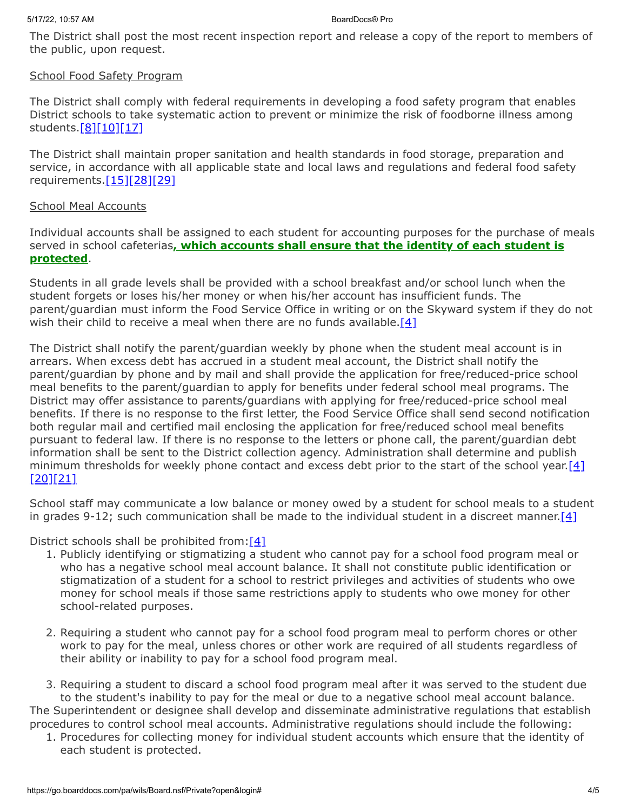The District shall post the most recent inspection report and release a copy of the report to members of the public, upon request.

# School Food Safety Program

The District shall comply with federal requirements in developing a food safety program that enables District schools to take systematic action to prevent or minimize the risk of foodborne illness among students[.\[8\]](http://www.law.cornell.edu/cfr/text/7/part-210)[\[10\]](http://www.law.cornell.edu/cfr/text/7/part-220)[\[17\]](http://www.law.cornell.edu/uscode/text/42/1758)

The District shall maintain proper sanitation and health standards in food storage, preparation and service, in accordance with all applicable state and local laws and regulations and federal food safety requirements.[\[15\]](http://www.law.cornell.edu/cfr/text/7/210.13)[\[28\]](http://www.law.cornell.edu/cfr/text/7/220.7)[\[29\]](http://www.law.cornell.edu/cfr/text/7/210.9)

# School Meal Accounts

Individual accounts shall be assigned to each student for accounting purposes for the purchase of meals served in school cafeterias**, which accounts shall ensure that the identity of each student is protected**.

Students in all grade levels shall be provided with a school breakfast and/or school lunch when the student forgets or loses his/her money or when his/her account has insufficient funds. The parent/guardian must inform the Food Service Office in writing or on the Skyward system if they do not wish their child to receive a meal when there are no funds available.  $[4]$ 

The District shall notify the parent/guardian weekly by phone when the student meal account is in arrears. When excess debt has accrued in a student meal account, the District shall notify the parent/guardian by phone and by mail and shall provide the application for free/reduced-price school meal benefits to the parent/guardian to apply for benefits under federal school meal programs. The District may offer assistance to parents/guardians with applying for free/reduced-price school meal benefits. If there is no response to the first letter, the Food Service Office shall send second notification both regular mail and certified mail enclosing the application for free/reduced school meal benefits pursuant to federal law. If there is no response to the letters or phone call, the parent/guardian debt information shall be sent to the District collection agency. Administration shall determine and publish minimum thresholds for weekly phone contact and excess debt prior to the start of the school year.[\[4\]](http://www.legis.state.pa.us/cfdocs/legis/LI/uconsCheck.cfm?txtType=HTM&yr=1949&sessInd=0&smthLwInd=0&act=14&chpt=13&sctn=37&subsctn=0) [\[20\]](http://www.law.cornell.edu/uscode/text/42/1758)[\[21\]](http://www.law.cornell.edu/cfr/text/7/part-245)

School staff may communicate a low balance or money owed by a student for school meals to a student in grades 9-12; such communication shall be made to the individual student in a discreet manner. [\[4\]](http://www.legis.state.pa.us/cfdocs/legis/LI/uconsCheck.cfm?txtType=HTM&yr=1949&sessInd=0&smthLwInd=0&act=14&chpt=13&sctn=37&subsctn=0)

District schools shall be prohibited from:  $[4]$ 

- 1. Publicly identifying or stigmatizing a student who cannot pay for a school food program meal or who has a negative school meal account balance. It shall not constitute public identification or stigmatization of a student for a school to restrict privileges and activities of students who owe money for school meals if those same restrictions apply to students who owe money for other school-related purposes.
- 2. Requiring a student who cannot pay for a school food program meal to perform chores or other work to pay for the meal, unless chores or other work are required of all students regardless of their ability or inability to pay for a school food program meal.

3. Requiring a student to discard a school food program meal after it was served to the student due to the student's inability to pay for the meal or due to a negative school meal account balance. The Superintendent or designee shall develop and disseminate administrative regulations that establish procedures to control school meal accounts. Administrative regulations should include the following:

1. Procedures for collecting money for individual student accounts which ensure that the identity of each student is protected.